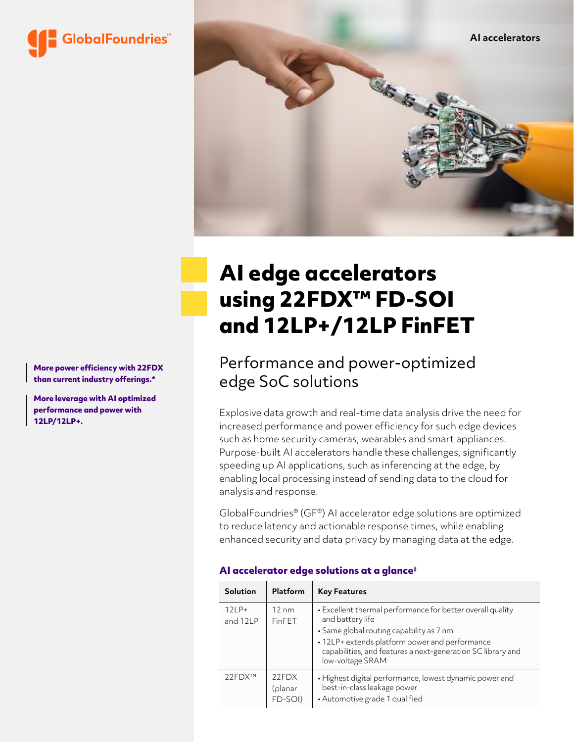



# **AI edge accelerators using 22FDX™ FD-SOI and 12LP+/12LP FinFET**

Performance and power-optimized edge SoC solutions

Explosive data growth and real-time data analysis drive the need for increased performance and power efficiency for such edge devices such as home security cameras, wearables and smart appliances. Purpose-built AI accelerators handle these challenges, significantly speeding up AI applications, such as inferencing at the edge, by enabling local processing instead of sending data to the cloud for analysis and response.

GlobalFoundries® (GF®) AI accelerator edge solutions are optimized to reduce latency and actionable response times, while enabling enhanced security and data privacy by managing data at the edge.

| <b>Solution</b>     | Platform                    | <b>Key Features</b>                                                                                                                                                                                                                                             |
|---------------------|-----------------------------|-----------------------------------------------------------------------------------------------------------------------------------------------------------------------------------------------------------------------------------------------------------------|
| $12LP+$<br>and 12LP | $12 \text{ nm}$<br>FinFET   | • Excellent thermal performance for better overall quality<br>and battery life<br>• Same global routing capability as 7 nm<br>• 12LP+ extends platform power and performance<br>capabilities, and features a next-generation SC library and<br>low-voltage SRAM |
| 22FDX™              | 22FDX<br>(planar<br>FD-SOI) | • Highest digital performance, lowest dynamic power and<br>best-in-class leakage power<br>• Automotive grade 1 qualified                                                                                                                                        |

#### **AI accelerator edge solutions at a glance‡**

**More power efficiency with 22FDX than current industry offerings.\***

**More leverage with AI optimized performance and power with 12LP/12LP+.**